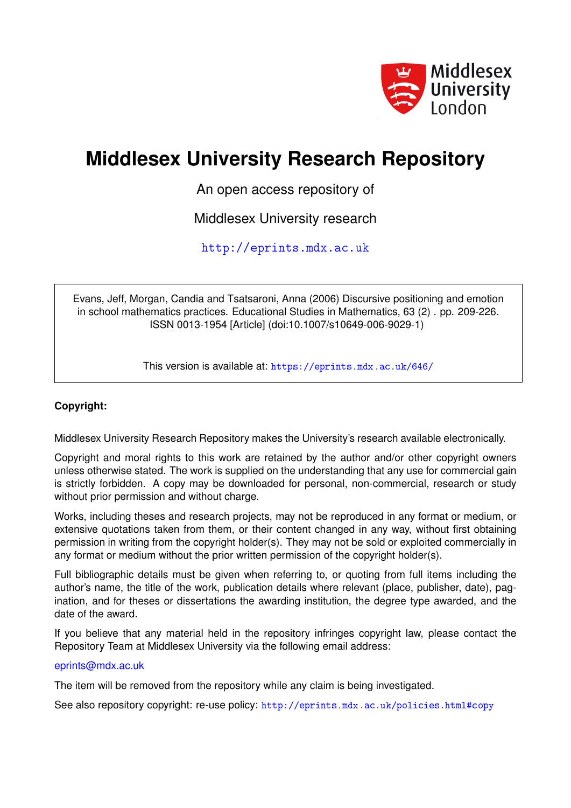

## **Middlesex University Research Repository**

An open access repository of

Middlesex University research

<http://eprints.mdx.ac.uk>

Evans, Jeff, Morgan, Candia and Tsatsaroni, Anna (2006) Discursive positioning and emotion in school mathematics practices. Educational Studies in Mathematics, 63 (2) . pp. 209-226. ISSN 0013-1954 [Article] (doi:10.1007/s10649-006-9029-1)

This version is available at: <https://eprints.mdx.ac.uk/646/>

#### **Copyright:**

Middlesex University Research Repository makes the University's research available electronically.

Copyright and moral rights to this work are retained by the author and/or other copyright owners unless otherwise stated. The work is supplied on the understanding that any use for commercial gain is strictly forbidden. A copy may be downloaded for personal, non-commercial, research or study without prior permission and without charge.

Works, including theses and research projects, may not be reproduced in any format or medium, or extensive quotations taken from them, or their content changed in any way, without first obtaining permission in writing from the copyright holder(s). They may not be sold or exploited commercially in any format or medium without the prior written permission of the copyright holder(s).

Full bibliographic details must be given when referring to, or quoting from full items including the author's name, the title of the work, publication details where relevant (place, publisher, date), pagination, and for theses or dissertations the awarding institution, the degree type awarded, and the date of the award.

If you believe that any material held in the repository infringes copyright law, please contact the Repository Team at Middlesex University via the following email address:

#### [eprints@mdx.ac.uk](mailto:eprints@mdx.ac.uk)

The item will be removed from the repository while any claim is being investigated.

See also repository copyright: re-use policy: <http://eprints.mdx.ac.uk/policies.html#copy>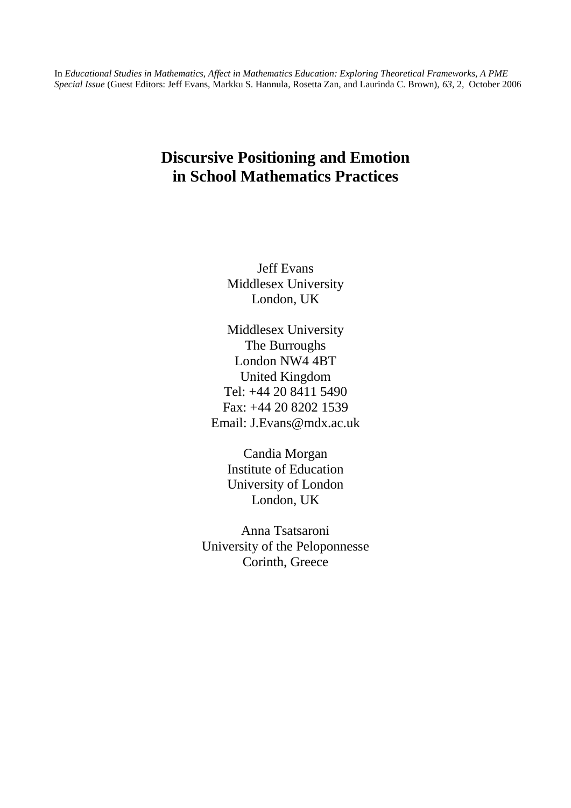In *Educational Studies in Mathematics, Affect in Mathematics Education: Exploring Theoretical Frameworks, A PME Special Issue* (Guest Editors: Jeff Evans, Markku S. Hannula, Rosetta Zan, and Laurinda C. Brown), *63*, 2, October 2006

### **Discursive Positioning and Emotion in School Mathematics Practices**

Jeff Evans Middlesex University London, UK

Middlesex University The Burroughs London NW4 4BT United Kingdom Tel: +44 20 8411 5490 Fax: +44 20 8202 1539 Email: J.Evans@mdx.ac.uk

Candia Morgan Institute of Education University of London London, UK

Anna Tsatsaroni University of the Peloponnesse Corinth, Greece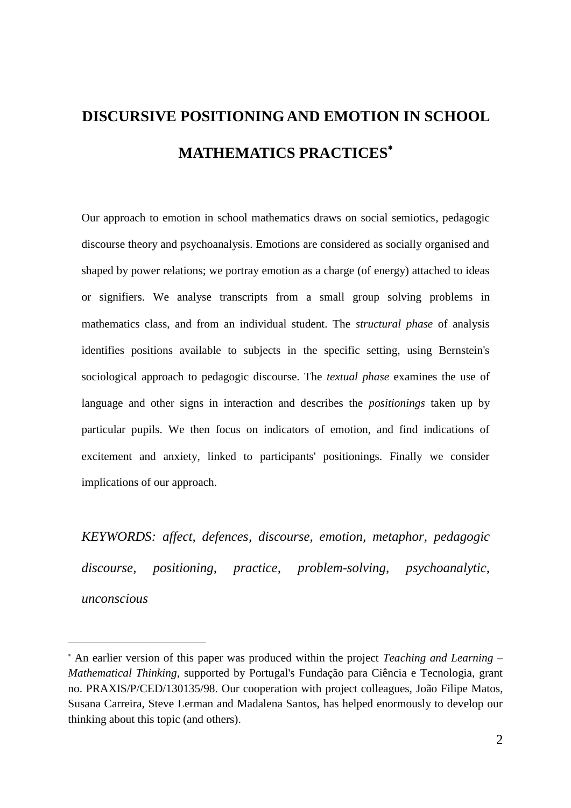# **DISCURSIVE POSITIONING AND EMOTION IN SCHOOL MATHEMATICS PRACTICES**

Our approach to emotion in school mathematics draws on social semiotics, pedagogic discourse theory and psychoanalysis. Emotions are considered as socially organised and shaped by power relations; we portray emotion as a charge (of energy) attached to ideas or signifiers. We analyse transcripts from a small group solving problems in mathematics class, and from an individual student. The *structural phase* of analysis identifies positions available to subjects in the specific setting, using Bernstein's sociological approach to pedagogic discourse. The *textual phase* examines the use of language and other signs in interaction and describes the *positionings* taken up by particular pupils. We then focus on indicators of emotion, and find indications of excitement and anxiety, linked to participants' positionings. Finally we consider implications of our approach.

*KEYWORDS: affect, defences, discourse, emotion, metaphor, pedagogic discourse, positioning, practice, problem-solving, psychoanalytic, unconscious*

 $\overline{a}$ 

An earlier version of this paper was produced within the project *Teaching and Learning – Mathematical Thinking*, supported by Portugal's Fundação para Ciência e Tecnologia, grant no. PRAXIS/P/CED/130135/98. Our cooperation with project colleagues, João Filipe Matos, Susana Carreira, Steve Lerman and Madalena Santos, has helped enormously to develop our thinking about this topic (and others).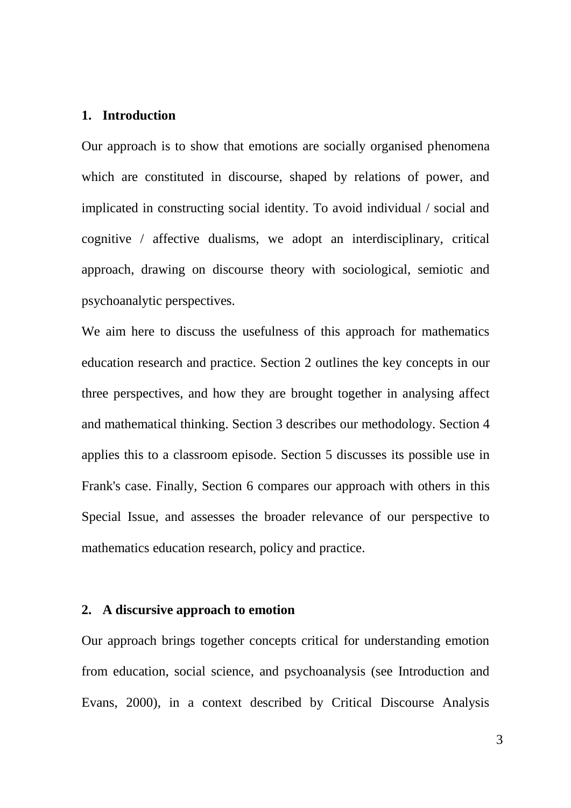#### **1. Introduction**

Our approach is to show that emotions are socially organised phenomena which are constituted in discourse, shaped by relations of power, and implicated in constructing social identity. To avoid individual / social and cognitive / affective dualisms, we adopt an interdisciplinary, critical approach, drawing on discourse theory with sociological, semiotic and psychoanalytic perspectives.

We aim here to discuss the usefulness of this approach for mathematics education research and practice. Section 2 outlines the key concepts in our three perspectives, and how they are brought together in analysing affect and mathematical thinking. Section 3 describes our methodology. Section 4 applies this to a classroom episode. Section 5 discusses its possible use in Frank's case. Finally, Section 6 compares our approach with others in this Special Issue, and assesses the broader relevance of our perspective to mathematics education research, policy and practice.

#### **2. A discursive approach to emotion**

Our approach brings together concepts critical for understanding emotion from education, social science, and psychoanalysis (see Introduction and Evans, 2000), in a context described by Critical Discourse Analysis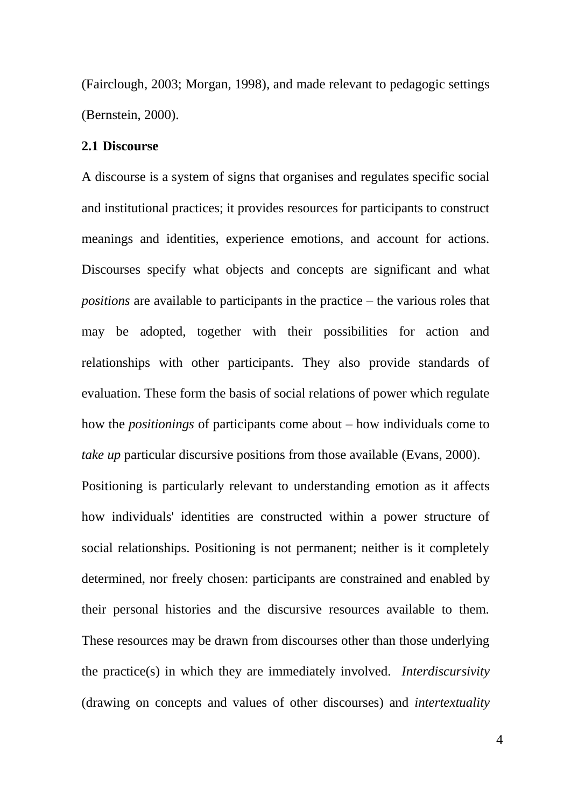(Fairclough, 2003; Morgan, 1998), and made relevant to pedagogic settings (Bernstein, 2000).

#### **2.1 Discourse**

A discourse is a system of signs that organises and regulates specific social and institutional practices; it provides resources for participants to construct meanings and identities, experience emotions, and account for actions. Discourses specify what objects and concepts are significant and what *positions* are available to participants in the practice – the various roles that may be adopted, together with their possibilities for action and relationships with other participants. They also provide standards of evaluation. These form the basis of social relations of power which regulate how the *positionings* of participants come about – how individuals come to *take up* particular discursive positions from those available (Evans, 2000). Positioning is particularly relevant to understanding emotion as it affects how individuals' identities are constructed within a power structure of social relationships. Positioning is not permanent; neither is it completely determined, nor freely chosen: participants are constrained and enabled by their personal histories and the discursive resources available to them. These resources may be drawn from discourses other than those underlying the practice(s) in which they are immediately involved. *Interdiscursivity* (drawing on concepts and values of other discourses) and *intertextuality*

4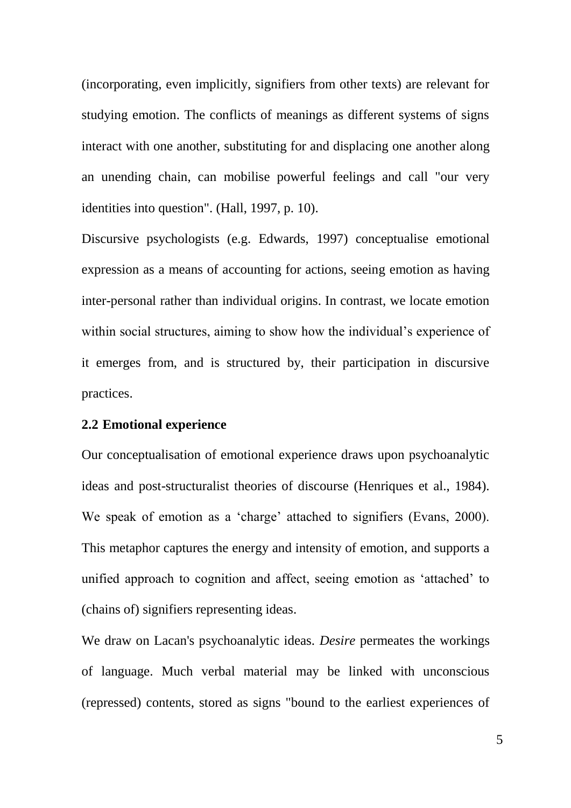(incorporating, even implicitly, signifiers from other texts) are relevant for studying emotion. The conflicts of meanings as different systems of signs interact with one another, substituting for and displacing one another along an unending chain, can mobilise powerful feelings and call "our very identities into question". (Hall, 1997, p. 10).

Discursive psychologists (e.g. Edwards, 1997) conceptualise emotional expression as a means of accounting for actions, seeing emotion as having inter-personal rather than individual origins. In contrast, we locate emotion within social structures, aiming to show how the individual's experience of it emerges from, and is structured by, their participation in discursive practices.

#### **2.2 Emotional experience**

Our conceptualisation of emotional experience draws upon psychoanalytic ideas and post-structuralist theories of discourse (Henriques et al., 1984). We speak of emotion as a 'charge' attached to signifiers (Evans, 2000). This metaphor captures the energy and intensity of emotion, and supports a unified approach to cognition and affect, seeing emotion as 'attached' to (chains of) signifiers representing ideas.

We draw on Lacan's psychoanalytic ideas. *Desire* permeates the workings of language. Much verbal material may be linked with unconscious (repressed) contents, stored as signs "bound to the earliest experiences of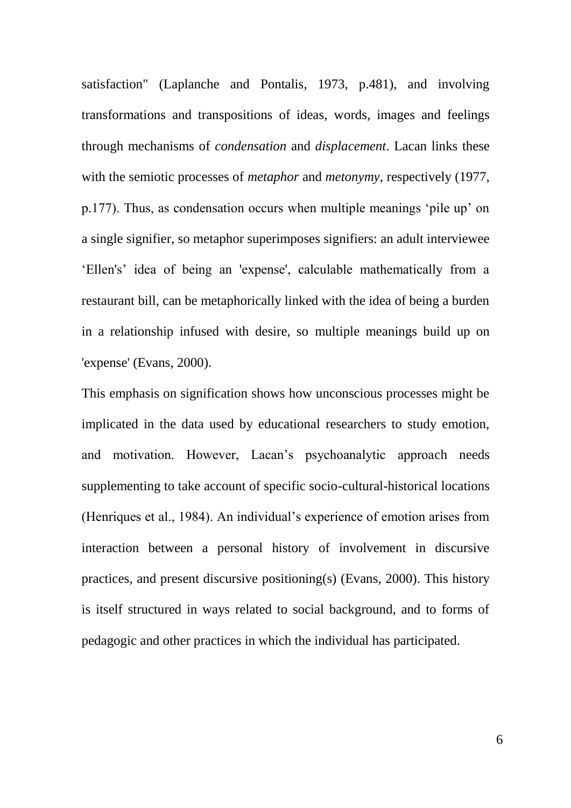satisfaction" (Laplanche and Pontalis, 1973, p.481), and involving transformations and transpositions of ideas, words, images and feelings through mechanisms of *condensation* and *displacement*. Lacan links these with the semiotic processes of *metaphor* and *metonymy*, respectively (1977, p.177). Thus, as condensation occurs when multiple meanings ‗pile up' on a single signifier, so metaphor superimposes signifiers: an adult interviewee ‗Ellen's' idea of being an 'expense', calculable mathematically from a restaurant bill, can be metaphorically linked with the idea of being a burden in a relationship infused with desire, so multiple meanings build up on 'expense' (Evans, 2000).

This emphasis on signification shows how unconscious processes might be implicated in the data used by educational researchers to study emotion, and motivation. However, Lacan's psychoanalytic approach needs supplementing to take account of specific socio-cultural-historical locations (Henriques et al., 1984). An individual's experience of emotion arises from interaction between a personal history of involvement in discursive practices, and present discursive positioning(s) (Evans, 2000). This history is itself structured in ways related to social background, and to forms of pedagogic and other practices in which the individual has participated.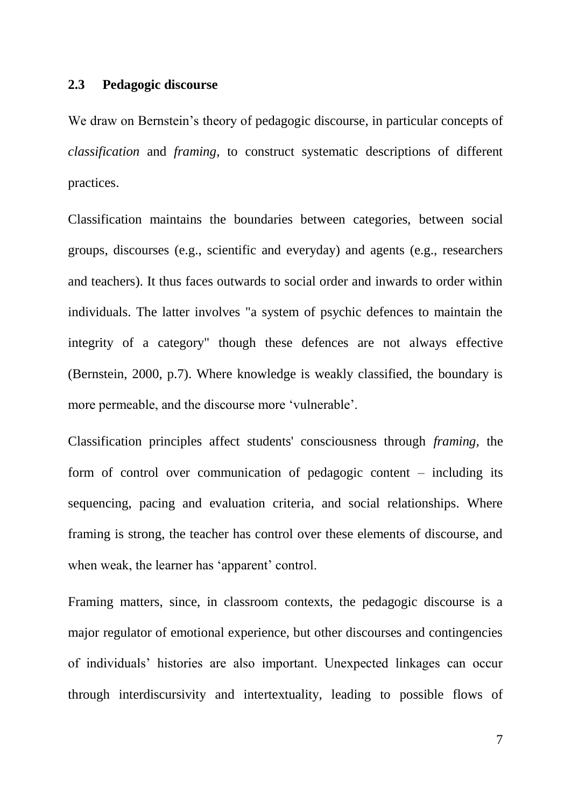#### **2.3 Pedagogic discourse**

We draw on Bernstein's theory of pedagogic discourse, in particular concepts of *classification* and *framing,* to construct systematic descriptions of different practices.

Classification maintains the boundaries between categories, between social groups, discourses (e.g., scientific and everyday) and agents (e.g., researchers and teachers). It thus faces outwards to social order and inwards to order within individuals. The latter involves "a system of psychic defences to maintain the integrity of a category" though these defences are not always effective (Bernstein, 2000, p.7). Where knowledge is weakly classified, the boundary is more permeable, and the discourse more 'vulnerable'.

Classification principles affect students' consciousness through *framing,* the form of control over communication of pedagogic content – including its sequencing, pacing and evaluation criteria, and social relationships. Where framing is strong, the teacher has control over these elements of discourse, and when weak, the learner has 'apparent' control.

Framing matters, since, in classroom contexts, the pedagogic discourse is a major regulator of emotional experience, but other discourses and contingencies of individuals' histories are also important. Unexpected linkages can occur through interdiscursivity and intertextuality, leading to possible flows of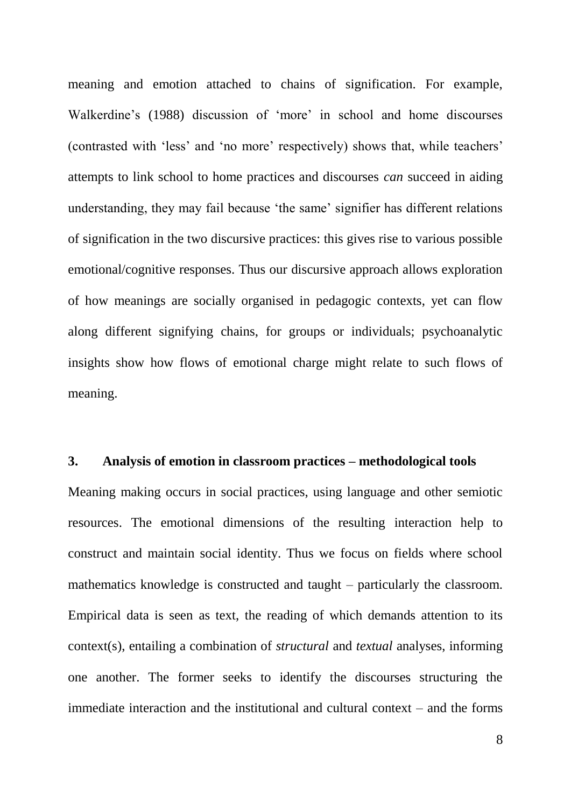meaning and emotion attached to chains of signification. For example, Walkerdine's (1988) discussion of 'more' in school and home discourses (contrasted with 'less' and 'no more' respectively) shows that, while teachers' attempts to link school to home practices and discourses *can* succeed in aiding understanding, they may fail because 'the same' signifier has different relations of signification in the two discursive practices: this gives rise to various possible emotional/cognitive responses. Thus our discursive approach allows exploration of how meanings are socially organised in pedagogic contexts, yet can flow along different signifying chains, for groups or individuals; psychoanalytic insights show how flows of emotional charge might relate to such flows of meaning.

#### **3. Analysis of emotion in classroom practices – methodological tools**

Meaning making occurs in social practices, using language and other semiotic resources. The emotional dimensions of the resulting interaction help to construct and maintain social identity. Thus we focus on fields where school mathematics knowledge is constructed and taught – particularly the classroom. Empirical data is seen as text, the reading of which demands attention to its context(s), entailing a combination of *structural* and *textual* analyses, informing one another. The former seeks to identify the discourses structuring the immediate interaction and the institutional and cultural context – and the forms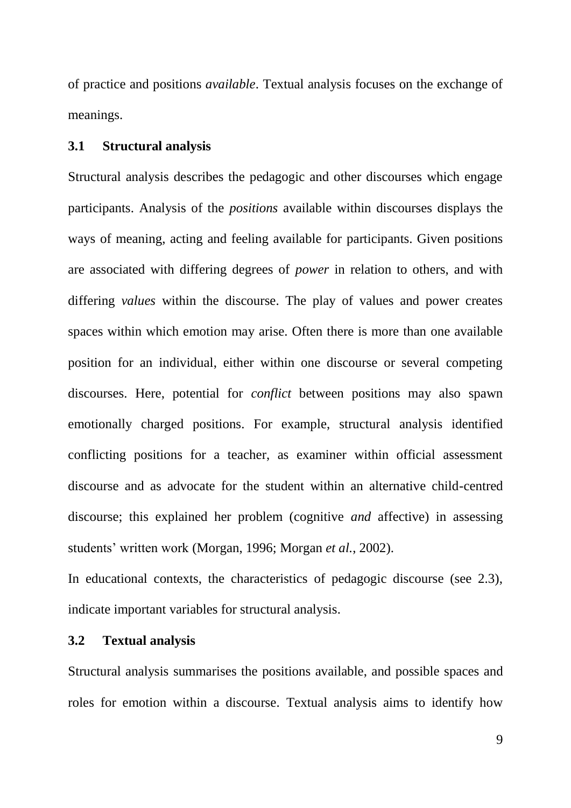of practice and positions *available*. Textual analysis focuses on the exchange of meanings.

#### **3.1 Structural analysis**

Structural analysis describes the pedagogic and other discourses which engage participants. Analysis of the *positions* available within discourses displays the ways of meaning, acting and feeling available for participants. Given positions are associated with differing degrees of *power* in relation to others, and with differing *values* within the discourse. The play of values and power creates spaces within which emotion may arise. Often there is more than one available position for an individual, either within one discourse or several competing discourses. Here, potential for *conflict* between positions may also spawn emotionally charged positions. For example, structural analysis identified conflicting positions for a teacher, as examiner within official assessment discourse and as advocate for the student within an alternative child-centred discourse; this explained her problem (cognitive *and* affective) in assessing students' written work (Morgan, 1996; Morgan *et al.*, 2002).

In educational contexts, the characteristics of pedagogic discourse (see 2.3), indicate important variables for structural analysis.

#### **3.2 Textual analysis**

Structural analysis summarises the positions available, and possible spaces and roles for emotion within a discourse. Textual analysis aims to identify how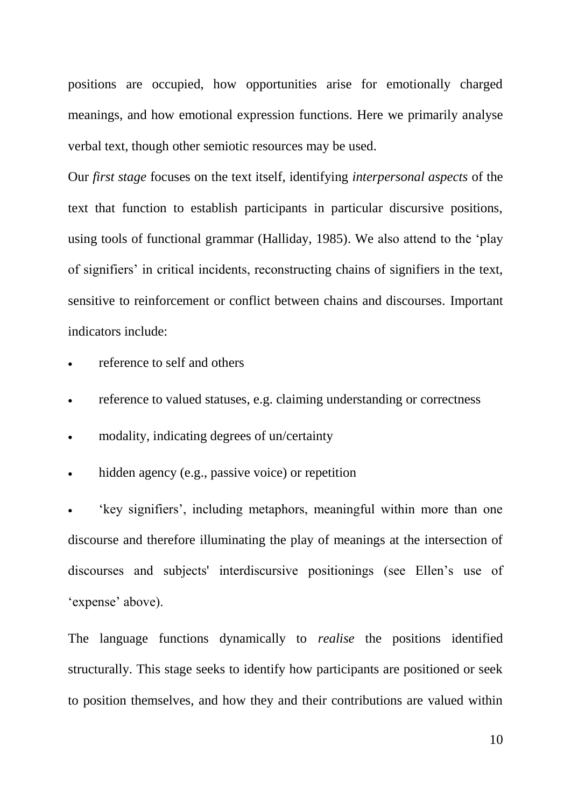positions are occupied, how opportunities arise for emotionally charged meanings, and how emotional expression functions. Here we primarily analyse verbal text, though other semiotic resources may be used.

Our *first stage* focuses on the text itself, identifying *interpersonal aspects* of the text that function to establish participants in particular discursive positions, using tools of functional grammar (Halliday, 1985). We also attend to the 'play of signifiers' in critical incidents, reconstructing chains of signifiers in the text, sensitive to reinforcement or conflict between chains and discourses. Important indicators include:

reference to self and others

- reference to valued statuses, e.g. claiming understanding or correctness
- modality, indicating degrees of un/certainty
- hidden agency (e.g., passive voice) or repetition

 ‗key signifiers', including metaphors, meaningful within more than one discourse and therefore illuminating the play of meanings at the intersection of discourses and subjects' interdiscursive positionings (see Ellen's use of 'expense' above).

The language functions dynamically to *realise* the positions identified structurally. This stage seeks to identify how participants are positioned or seek to position themselves, and how they and their contributions are valued within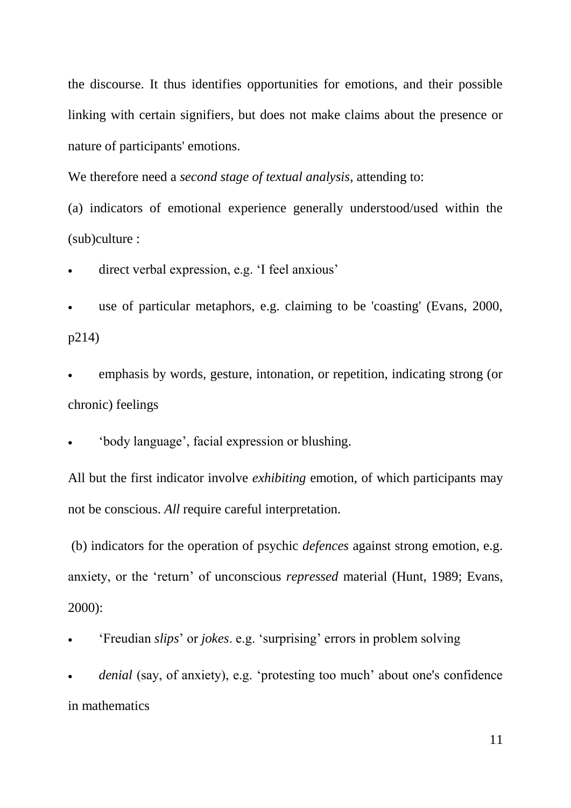the discourse. It thus identifies opportunities for emotions, and their possible linking with certain signifiers, but does not make claims about the presence or nature of participants' emotions.

We therefore need a *second stage of textual analysis*, attending to:

(a) indicators of emotional experience generally understood/used within the (sub)culture :

direct verbal expression, e.g. 'I feel anxious'

 use of particular metaphors, e.g. claiming to be 'coasting' (Evans, 2000, p214)

 emphasis by words, gesture, intonation, or repetition, indicating strong (or chronic) feelings

‗body language', facial expression or blushing.

All but the first indicator involve *exhibiting* emotion, of which participants may not be conscious. *All* require careful interpretation.

(b) indicators for the operation of psychic *defences* against strong emotion, e.g. anxiety, or the 'return' of unconscious *repressed* material (Hunt, 1989; Evans, 2000):

‗Freudian *slips*' or *jokes*. e.g. ‗surprising' errors in problem solving

*denial* (say, of anxiety), e.g. 'protesting too much' about one's confidence in mathematics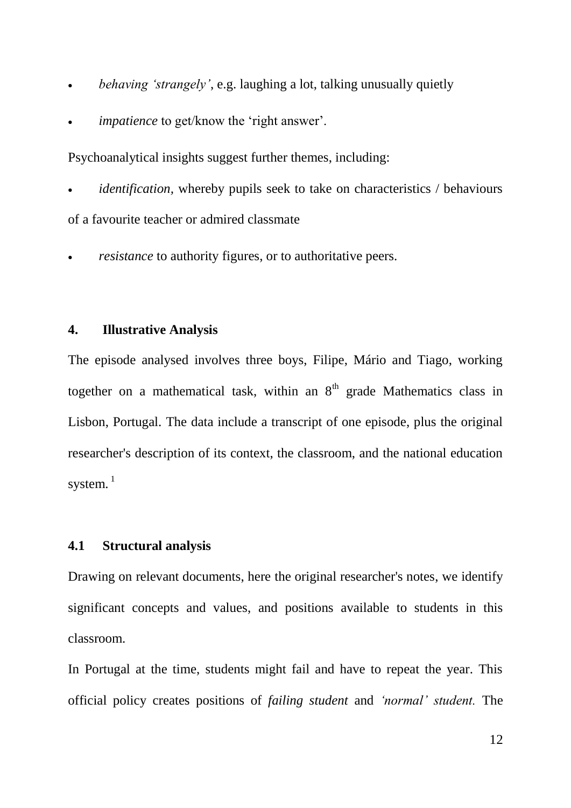- *behaving "strangely"*, e.g. laughing a lot, talking unusually quietly
- *impatience* to get/know the 'right answer'.

Psychoanalytical insights suggest further themes, including:

 *identification,* whereby pupils seek to take on characteristics / behaviours of a favourite teacher or admired classmate

*resistance* to authority figures, or to authoritative peers.

#### **4. Illustrative Analysis**

The episode analysed involves three boys, Filipe, Mário and Tiago, working together on a mathematical task, within an  $8<sup>th</sup>$  grade Mathematics class in Lisbon, Portugal. The data include a transcript of one episode, plus the original researcher's description of its context, the classroom, and the national education system.<sup>1</sup>

#### **4.1 Structural analysis**

Drawing on relevant documents, here the original researcher's notes, we identify significant concepts and values, and positions available to students in this classroom.

In Portugal at the time, students might fail and have to repeat the year. This official policy creates positions of *failing student* and *"normal" student.* The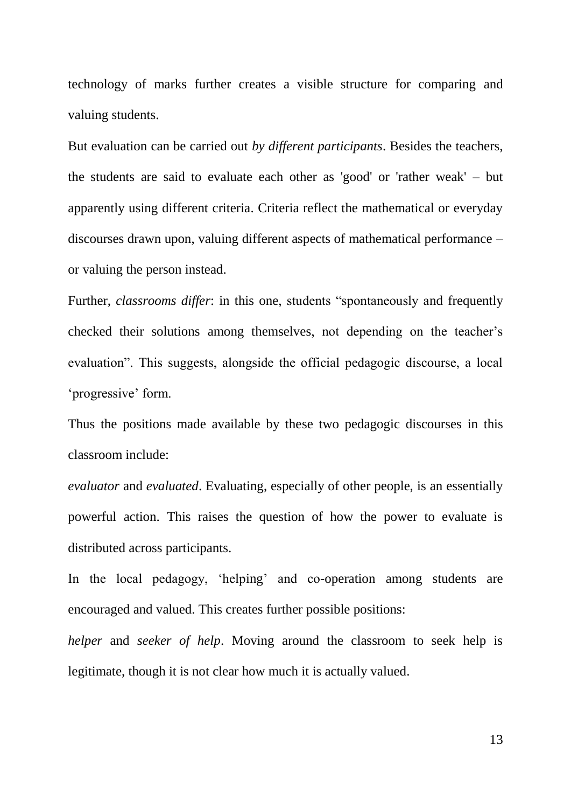technology of marks further creates a visible structure for comparing and valuing students.

But evaluation can be carried out *by different participants*. Besides the teachers, the students are said to evaluate each other as 'good' or 'rather weak' – but apparently using different criteria. Criteria reflect the mathematical or everyday discourses drawn upon, valuing different aspects of mathematical performance – or valuing the person instead.

Further, *classrooms differ*: in this one, students "spontaneously and frequently checked their solutions among themselves, not depending on the teacher's evaluation". This suggests, alongside the official pedagogic discourse, a local ‗progressive' form.

Thus the positions made available by these two pedagogic discourses in this classroom include:

*evaluator* and *evaluated*. Evaluating, especially of other people, is an essentially powerful action. This raises the question of how the power to evaluate is distributed across participants.

In the local pedagogy, 'helping' and co-operation among students are encouraged and valued. This creates further possible positions:

*helper* and *seeker of help*. Moving around the classroom to seek help is legitimate, though it is not clear how much it is actually valued.

13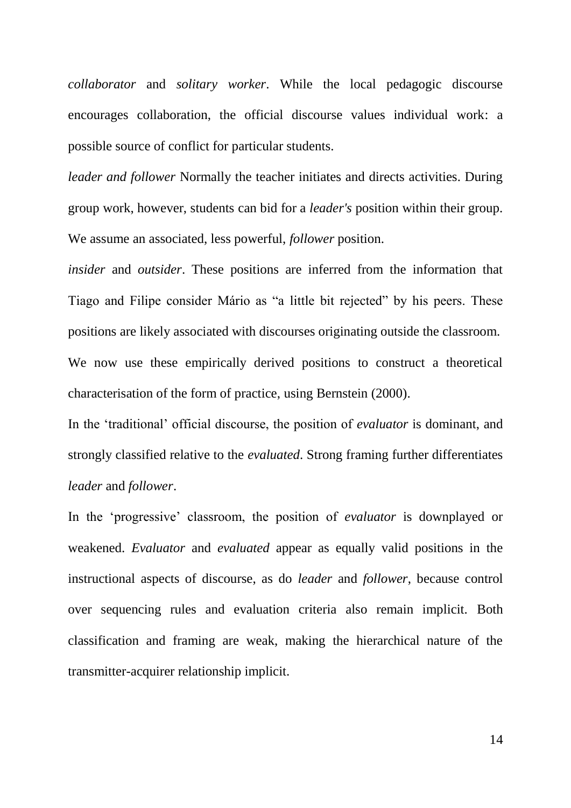*collaborator* and *solitary worker*. While the local pedagogic discourse encourages collaboration, the official discourse values individual work: a possible source of conflict for particular students.

*leader and follower* Normally the teacher initiates and directs activities. During group work, however, students can bid for a *leader's* position within their group. We assume an associated, less powerful, *follower* position.

*insider* and *outsider*. These positions are inferred from the information that Tiago and Filipe consider Mário as "a little bit rejected" by his peers. These positions are likely associated with discourses originating outside the classroom. We now use these empirically derived positions to construct a theoretical characterisation of the form of practice, using Bernstein (2000).

In the 'traditional' official discourse, the position of *evaluator* is dominant, and strongly classified relative to the *evaluated*. Strong framing further differentiates *leader* and *follower*.

In the 'progressive' classroom, the position of *evaluator* is downplayed or weakened. *Evaluator* and *evaluated* appear as equally valid positions in the instructional aspects of discourse, as do *leader* and *follower*, because control over sequencing rules and evaluation criteria also remain implicit. Both classification and framing are weak, making the hierarchical nature of the transmitter-acquirer relationship implicit.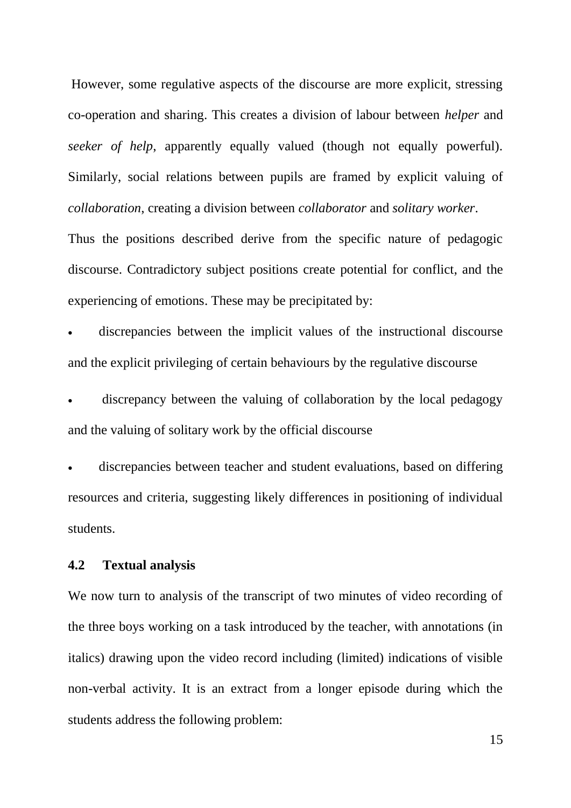However, some regulative aspects of the discourse are more explicit, stressing co-operation and sharing. This creates a division of labour between *helper* and *seeker of help*, apparently equally valued (though not equally powerful). Similarly, social relations between pupils are framed by explicit valuing of *collaboration*, creating a division between *collaborator* and *solitary worker*.

Thus the positions described derive from the specific nature of pedagogic discourse. Contradictory subject positions create potential for conflict, and the experiencing of emotions. These may be precipitated by:

 discrepancies between the implicit values of the instructional discourse and the explicit privileging of certain behaviours by the regulative discourse

 discrepancy between the valuing of collaboration by the local pedagogy and the valuing of solitary work by the official discourse

 discrepancies between teacher and student evaluations, based on differing resources and criteria, suggesting likely differences in positioning of individual students.

#### **4.2 Textual analysis**

We now turn to analysis of the transcript of two minutes of video recording of the three boys working on a task introduced by the teacher, with annotations (in italics) drawing upon the video record including (limited) indications of visible non-verbal activity. It is an extract from a longer episode during which the students address the following problem:

15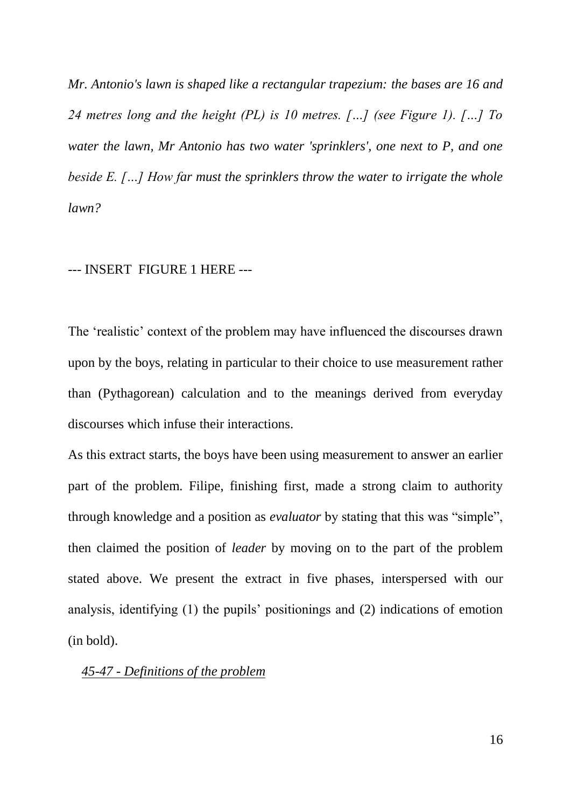*Mr. Antonio's lawn is shaped like a rectangular trapezium: the bases are 16 and 24 metres long and the height (PL) is 10 metres. […] (see Figure 1). […] To water the lawn, Mr Antonio has two water 'sprinklers', one next to P, and one beside E. […] How far must the sprinklers throw the water to irrigate the whole lawn?* 

#### --- INSERT FIGURE 1 HERE ---

The 'realistic' context of the problem may have influenced the discourses drawn upon by the boys, relating in particular to their choice to use measurement rather than (Pythagorean) calculation and to the meanings derived from everyday discourses which infuse their interactions.

As this extract starts, the boys have been using measurement to answer an earlier part of the problem. Filipe, finishing first, made a strong claim to authority through knowledge and a position as *evaluator* by stating that this was "simple", then claimed the position of *leader* by moving on to the part of the problem stated above. We present the extract in five phases, interspersed with our analysis, identifying (1) the pupils' positionings and (2) indications of emotion (in bold).

#### *45-47 - Definitions of the problem*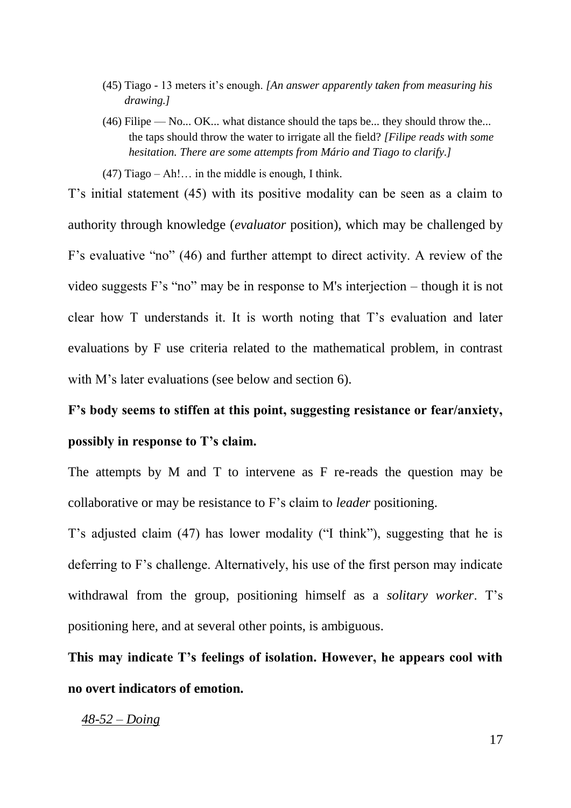- (45) Tiago 13 meters it's enough. *[An answer apparently taken from measuring his drawing.]*
- (46) Filipe No... OK... what distance should the taps be... they should throw the... the taps should throw the water to irrigate all the field? *[Filipe reads with some hesitation. There are some attempts from Mário and Tiago to clarify.]*

 $(47)$  Tiago – Ah!... in the middle is enough, I think.

T's initial statement (45) with its positive modality can be seen as a claim to authority through knowledge (*evaluator* position), which may be challenged by F's evaluative "no"  $(46)$  and further attempt to direct activity. A review of the video suggests F's "no" may be in response to M's interjection – though it is not clear how T understands it. It is worth noting that T's evaluation and later evaluations by F use criteria related to the mathematical problem, in contrast with M's later evaluations (see below and section 6).

**F"s body seems to stiffen at this point, suggesting resistance or fear/anxiety, possibly in response to T"s claim.**

The attempts by M and T to intervene as F re-reads the question may be collaborative or may be resistance to F's claim to *leader* positioning.

T's adjusted claim (47) has lower modality ("I think"), suggesting that he is deferring to F's challenge. Alternatively, his use of the first person may indicate withdrawal from the group, positioning himself as a *solitary worker*. T's positioning here, and at several other points, is ambiguous.

**This may indicate T"s feelings of isolation. However, he appears cool with no overt indicators of emotion.**

#### *48-52 – Doing*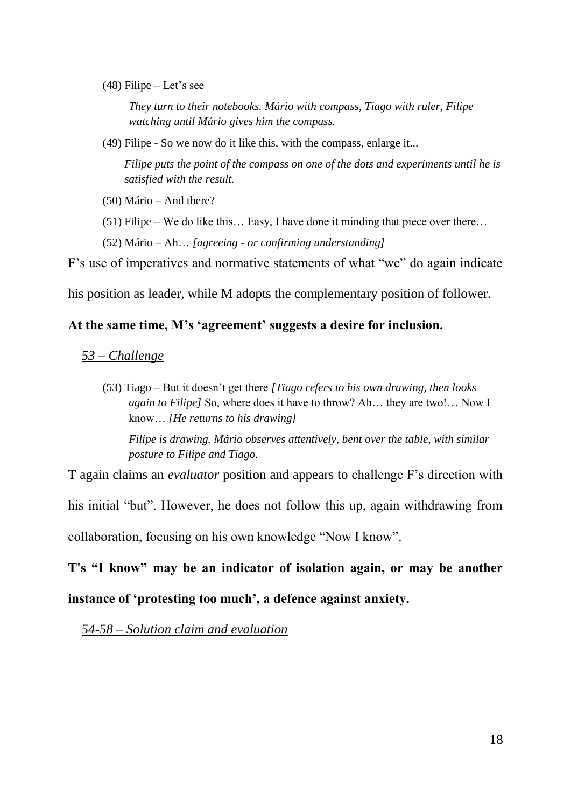$(48)$  Filipe – Let's see

*They turn to their notebooks. Mário with compass, Tiago with ruler, Filipe watching until Mário gives him the compass.*

(49) Filipe - So we now do it like this, with the compass, enlarge it...

*Filipe puts the point of the compass on one of the dots and experiments until he is satisfied with the result.*

- (50) Mário And there?
- (51) Filipe We do like this… Easy, I have done it minding that piece over there…
- (52) Mário Ah… *[agreeing - or confirming understanding]*

F's use of imperatives and normative statements of what "we" do again indicate

his position as leader, while M adopts the complementary position of follower.

#### **At the same time, M"s "agreement" suggests a desire for inclusion.**

*53 – Challenge*

(53) Tiago – But it doesn't get there *[Tiago refers to his own drawing, then looks again to Filipe]* So, where does it have to throw? Ah… they are two!… Now I know… *[He returns to his drawing]*

*Filipe is drawing. Mário observes attentively, bent over the table, with similar posture to Filipe and Tiago.*

T again claims an *evaluator* position and appears to challenge F's direction with his initial "but". However, he does not follow this up, again withdrawing from collaboration, focusing on his own knowledge "Now I know".

**T's "I know" may be an indicator of isolation again, or may be another** 

#### **instance of "protesting too much", a defence against anxiety.**

*54-58 – Solution claim and evaluation*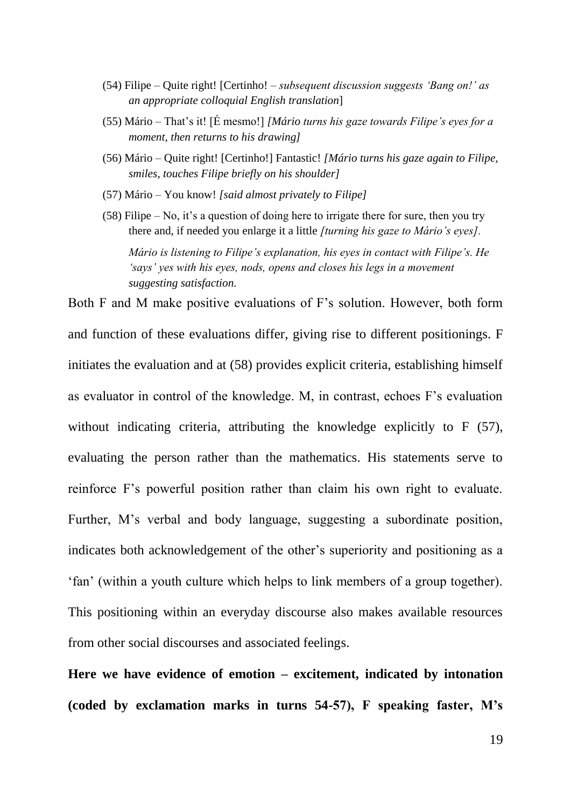- (54) Filipe Quite right! [Certinho! *subsequent discussion suggests "Bang on!" as an appropriate colloquial English translation*]
- (55) Mário That's it! [É mesmo!] *[Mário turns his gaze towards Filipe"s eyes for a moment, then returns to his drawing]*
- (56) Mário Quite right! [Certinho!] Fantastic! *[Mário turns his gaze again to Filipe, smiles, touches Filipe briefly on his shoulder]*
- (57) Mário You know! *[said almost privately to Filipe]*
- (58) Filipe No, it's a question of doing here to irrigate there for sure, then you try there and, if needed you enlarge it a little *[turning his gaze to Mário"s eyes].*

*Mário is listening to Filipe"s explanation, his eyes in contact with Filipe"s. He "says" yes with his eyes, nods, opens and closes his legs in a movement suggesting satisfaction.*

Both F and M make positive evaluations of F's solution. However, both form and function of these evaluations differ, giving rise to different positionings. F initiates the evaluation and at (58) provides explicit criteria, establishing himself as evaluator in control of the knowledge. M, in contrast, echoes F's evaluation without indicating criteria, attributing the knowledge explicitly to F (57), evaluating the person rather than the mathematics. His statements serve to reinforce F's powerful position rather than claim his own right to evaluate. Further, M's verbal and body language, suggesting a subordinate position, indicates both acknowledgement of the other's superiority and positioning as a ‗fan' (within a youth culture which helps to link members of a group together). This positioning within an everyday discourse also makes available resources from other social discourses and associated feelings.

**Here we have evidence of emotion – excitement, indicated by intonation (coded by exclamation marks in turns 54-57), F speaking faster, M"s**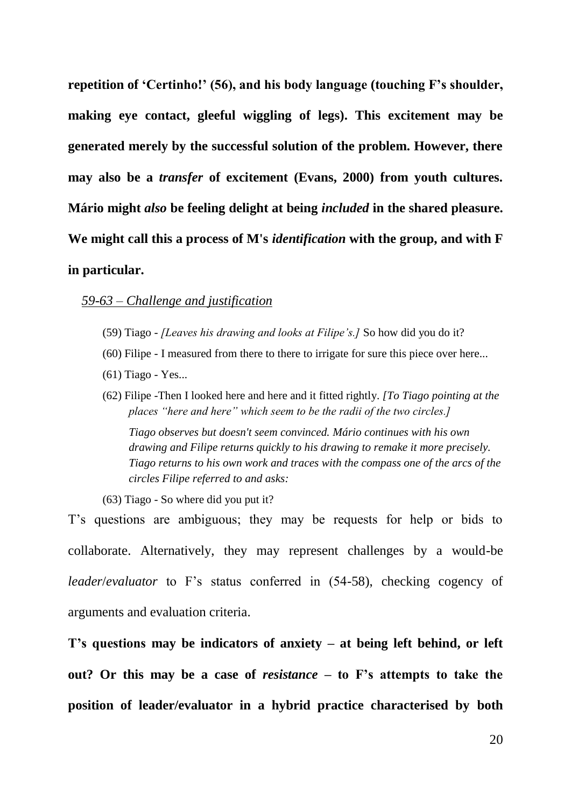**repetition of "Certinho!" (56), and his body language (touching F"s shoulder, making eye contact, gleeful wiggling of legs). This excitement may be generated merely by the successful solution of the problem. However, there may also be a** *transfer* **of excitement (Evans, 2000) from youth cultures. Mário might** *also* **be feeling delight at being** *included* **in the shared pleasure. We might call this a process of M's** *identification* **with the group, and with F in particular.**

#### *59-63 – Challenge and justification*

- (59) Tiago *[Leaves his drawing and looks at Filipe"s.]* So how did you do it?
- (60) Filipe I measured from there to there to irrigate for sure this piece over here...
- (61) Tiago Yes...
- (62) Filipe -Then I looked here and here and it fitted rightly. *[To Tiago pointing at the places "here and here" which seem to be the radii of the two circles.]*

*Tiago observes but doesn't seem convinced. Mário continues with his own drawing and Filipe returns quickly to his drawing to remake it more precisely. Tiago returns to his own work and traces with the compass one of the arcs of the circles Filipe referred to and asks:*

(63) Tiago - So where did you put it?

T's questions are ambiguous; they may be requests for help or bids to collaborate. Alternatively, they may represent challenges by a would-be *leader*/*evaluator* to F's status conferred in (54-58), checking cogency of arguments and evaluation criteria.

**T"s questions may be indicators of anxiety – at being left behind, or left out? Or this may be a case of** *resistance* **– to F"s attempts to take the position of leader/evaluator in a hybrid practice characterised by both**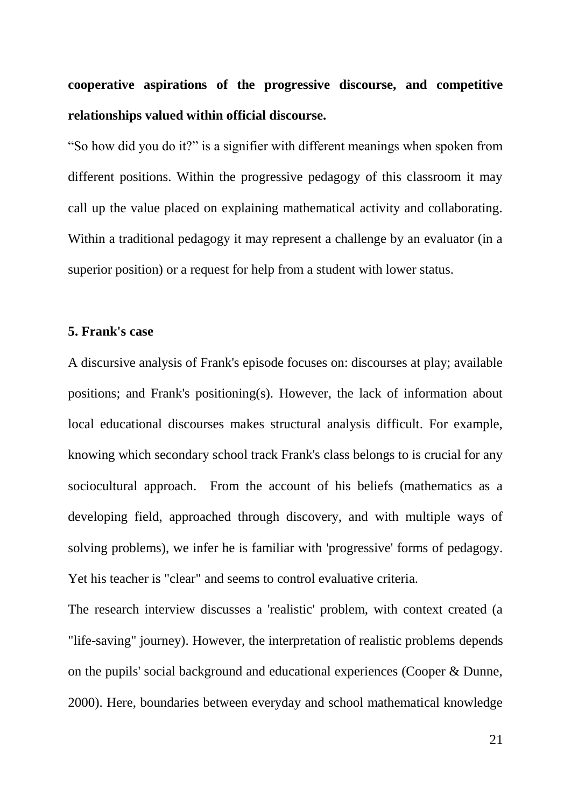**cooperative aspirations of the progressive discourse, and competitive relationships valued within official discourse.** 

―So how did you do it?‖ is a signifier with different meanings when spoken from different positions. Within the progressive pedagogy of this classroom it may call up the value placed on explaining mathematical activity and collaborating. Within a traditional pedagogy it may represent a challenge by an evaluator (in a superior position) or a request for help from a student with lower status.

#### **5. Frank's case**

A discursive analysis of Frank's episode focuses on: discourses at play; available positions; and Frank's positioning(s). However, the lack of information about local educational discourses makes structural analysis difficult. For example, knowing which secondary school track Frank's class belongs to is crucial for any sociocultural approach. From the account of his beliefs (mathematics as a developing field, approached through discovery, and with multiple ways of solving problems), we infer he is familiar with 'progressive' forms of pedagogy. Yet his teacher is "clear" and seems to control evaluative criteria.

The research interview discusses a 'realistic' problem, with context created (a "life-saving" journey). However, the interpretation of realistic problems depends on the pupils' social background and educational experiences (Cooper & Dunne, 2000). Here, boundaries between everyday and school mathematical knowledge

21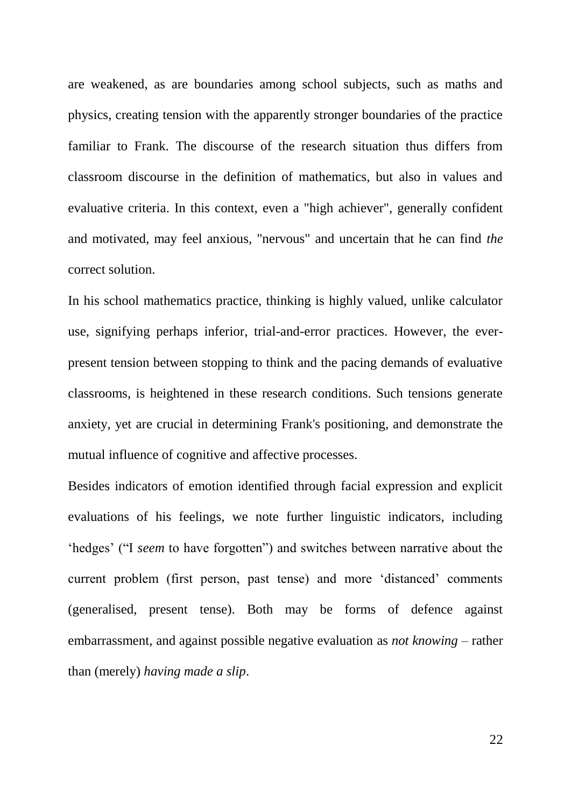are weakened, as are boundaries among school subjects, such as maths and physics, creating tension with the apparently stronger boundaries of the practice familiar to Frank. The discourse of the research situation thus differs from classroom discourse in the definition of mathematics, but also in values and evaluative criteria. In this context, even a "high achiever", generally confident and motivated, may feel anxious, "nervous" and uncertain that he can find *the* correct solution.

In his school mathematics practice, thinking is highly valued, unlike calculator use, signifying perhaps inferior, trial-and-error practices. However, the everpresent tension between stopping to think and the pacing demands of evaluative classrooms, is heightened in these research conditions. Such tensions generate anxiety, yet are crucial in determining Frank's positioning, and demonstrate the mutual influence of cognitive and affective processes.

Besides indicators of emotion identified through facial expression and explicit evaluations of his feelings, we note further linguistic indicators, including 'hedges' ("I *seem* to have forgotten") and switches between narrative about the current problem (first person, past tense) and more 'distanced' comments (generalised, present tense). Both may be forms of defence against embarrassment, and against possible negative evaluation as *not knowing* – rather than (merely) *having made a slip*.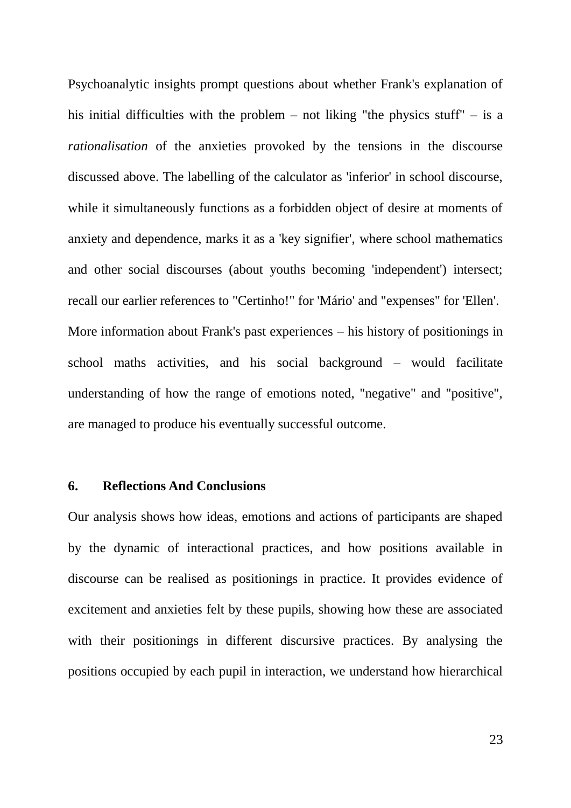Psychoanalytic insights prompt questions about whether Frank's explanation of his initial difficulties with the problem – not liking "the physics stuff" – is a *rationalisation* of the anxieties provoked by the tensions in the discourse discussed above. The labelling of the calculator as 'inferior' in school discourse, while it simultaneously functions as a forbidden object of desire at moments of anxiety and dependence, marks it as a 'key signifier', where school mathematics and other social discourses (about youths becoming 'independent') intersect; recall our earlier references to "Certinho!" for 'Mário' and "expenses" for 'Ellen'. More information about Frank's past experiences – his history of positionings in school maths activities, and his social background – would facilitate understanding of how the range of emotions noted, "negative" and "positive", are managed to produce his eventually successful outcome.

#### **6. Reflections And Conclusions**

Our analysis shows how ideas, emotions and actions of participants are shaped by the dynamic of interactional practices, and how positions available in discourse can be realised as positionings in practice. It provides evidence of excitement and anxieties felt by these pupils, showing how these are associated with their positionings in different discursive practices. By analysing the positions occupied by each pupil in interaction, we understand how hierarchical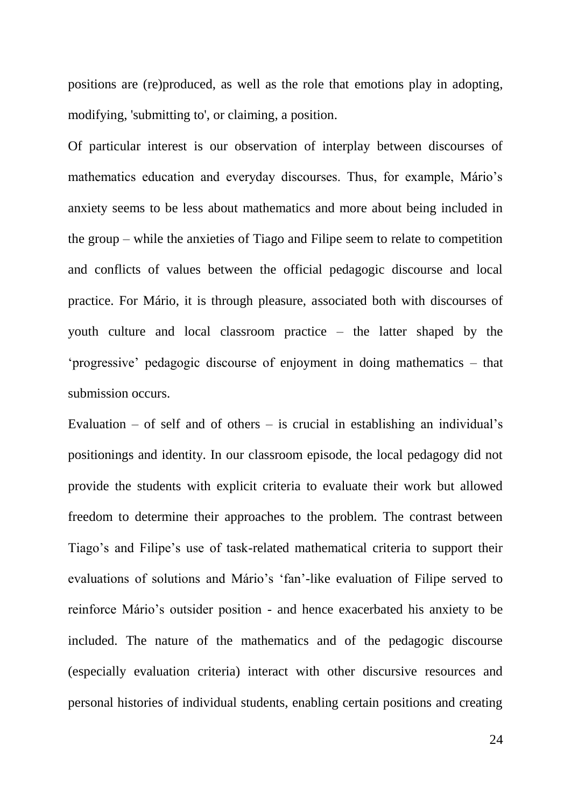positions are (re)produced, as well as the role that emotions play in adopting, modifying, 'submitting to', or claiming, a position.

Of particular interest is our observation of interplay between discourses of mathematics education and everyday discourses. Thus, for example, Mário's anxiety seems to be less about mathematics and more about being included in the group – while the anxieties of Tiago and Filipe seem to relate to competition and conflicts of values between the official pedagogic discourse and local practice. For Mário, it is through pleasure, associated both with discourses of youth culture and local classroom practice – the latter shaped by the ‗progressive' pedagogic discourse of enjoyment in doing mathematics – that submission occurs.

Evaluation – of self and of others – is crucial in establishing an individual's positionings and identity. In our classroom episode, the local pedagogy did not provide the students with explicit criteria to evaluate their work but allowed freedom to determine their approaches to the problem. The contrast between Tiago's and Filipe's use of task-related mathematical criteria to support their evaluations of solutions and Mário's 'fan'-like evaluation of Filipe served to reinforce Mário's outsider position - and hence exacerbated his anxiety to be included. The nature of the mathematics and of the pedagogic discourse (especially evaluation criteria) interact with other discursive resources and personal histories of individual students, enabling certain positions and creating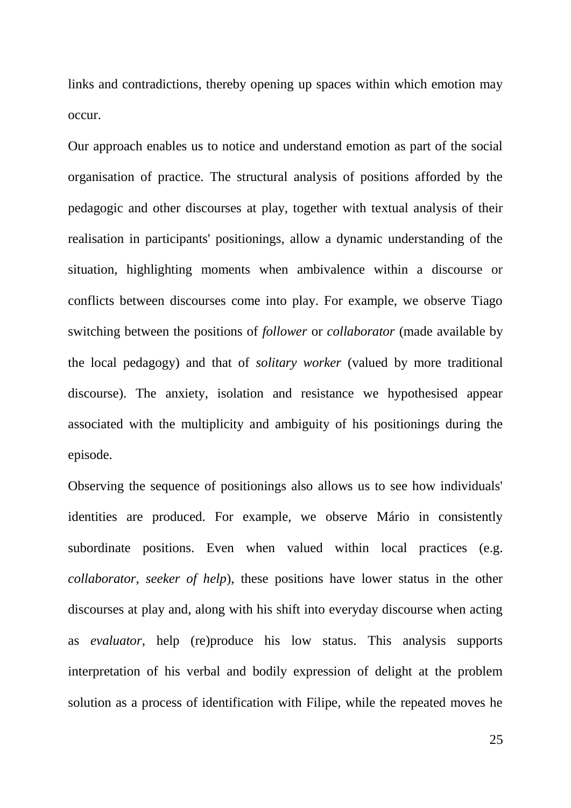links and contradictions, thereby opening up spaces within which emotion may occur.

Our approach enables us to notice and understand emotion as part of the social organisation of practice. The structural analysis of positions afforded by the pedagogic and other discourses at play, together with textual analysis of their realisation in participants' positionings, allow a dynamic understanding of the situation, highlighting moments when ambivalence within a discourse or conflicts between discourses come into play. For example, we observe Tiago switching between the positions of *follower* or *collaborator* (made available by the local pedagogy) and that of *solitary worker* (valued by more traditional discourse). The anxiety, isolation and resistance we hypothesised appear associated with the multiplicity and ambiguity of his positionings during the episode.

Observing the sequence of positionings also allows us to see how individuals' identities are produced. For example, we observe Mário in consistently subordinate positions. Even when valued within local practices (e.g. *collaborator*, *seeker of help*), these positions have lower status in the other discourses at play and, along with his shift into everyday discourse when acting as *evaluator*, help (re)produce his low status. This analysis supports interpretation of his verbal and bodily expression of delight at the problem solution as a process of identification with Filipe, while the repeated moves he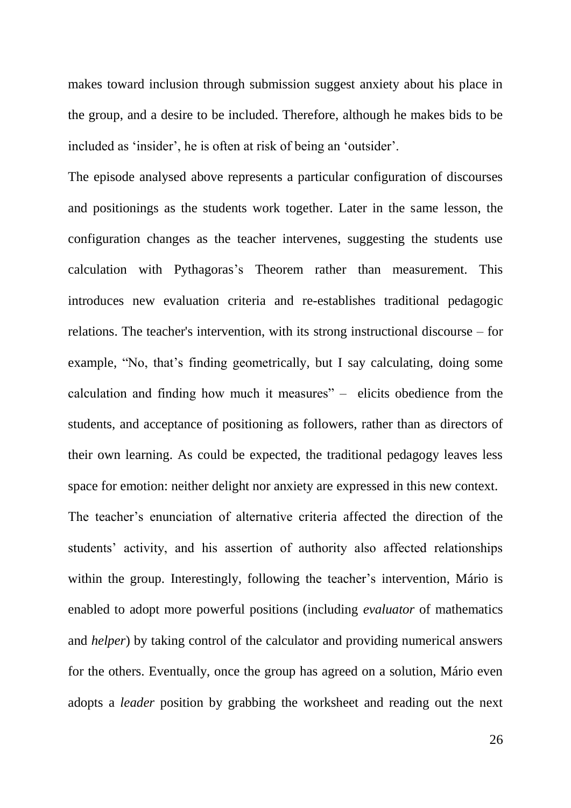makes toward inclusion through submission suggest anxiety about his place in the group, and a desire to be included. Therefore, although he makes bids to be included as 'insider', he is often at risk of being an 'outsider'.

The episode analysed above represents a particular configuration of discourses and positionings as the students work together. Later in the same lesson, the configuration changes as the teacher intervenes, suggesting the students use calculation with Pythagoras's Theorem rather than measurement. This introduces new evaluation criteria and re-establishes traditional pedagogic relations. The teacher's intervention, with its strong instructional discourse – for example, "No, that's finding geometrically, but I say calculating, doing some calculation and finding how much it measures"  $-$  elicits obedience from the students, and acceptance of positioning as followers, rather than as directors of their own learning. As could be expected, the traditional pedagogy leaves less space for emotion: neither delight nor anxiety are expressed in this new context.

The teacher's enunciation of alternative criteria affected the direction of the students' activity, and his assertion of authority also affected relationships within the group. Interestingly, following the teacher's intervention, Mário is enabled to adopt more powerful positions (including *evaluator* of mathematics and *helper*) by taking control of the calculator and providing numerical answers for the others. Eventually, once the group has agreed on a solution, Mário even adopts a *leader* position by grabbing the worksheet and reading out the next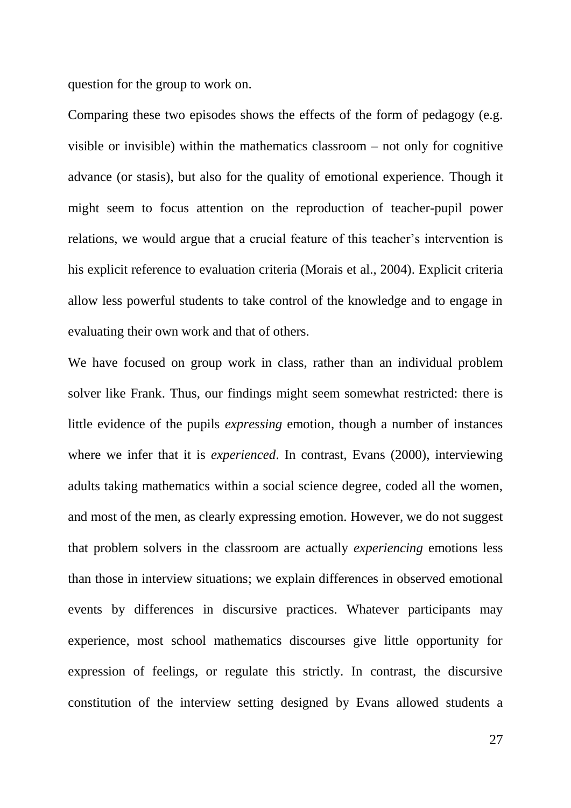question for the group to work on.

Comparing these two episodes shows the effects of the form of pedagogy (e.g. visible or invisible) within the mathematics classroom – not only for cognitive advance (or stasis), but also for the quality of emotional experience. Though it might seem to focus attention on the reproduction of teacher-pupil power relations, we would argue that a crucial feature of this teacher's intervention is his explicit reference to evaluation criteria (Morais et al., 2004). Explicit criteria allow less powerful students to take control of the knowledge and to engage in evaluating their own work and that of others.

We have focused on group work in class, rather than an individual problem solver like Frank. Thus, our findings might seem somewhat restricted: there is little evidence of the pupils *expressing* emotion, though a number of instances where we infer that it is *experienced*. In contrast, Evans (2000), interviewing adults taking mathematics within a social science degree, coded all the women, and most of the men, as clearly expressing emotion. However, we do not suggest that problem solvers in the classroom are actually *experiencing* emotions less than those in interview situations; we explain differences in observed emotional events by differences in discursive practices. Whatever participants may experience, most school mathematics discourses give little opportunity for expression of feelings, or regulate this strictly. In contrast, the discursive constitution of the interview setting designed by Evans allowed students a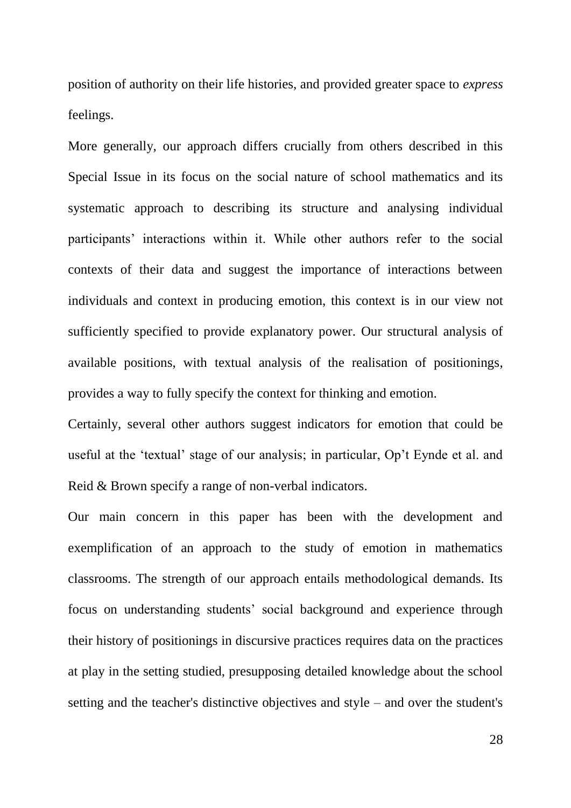position of authority on their life histories, and provided greater space to *express* feelings.

More generally, our approach differs crucially from others described in this Special Issue in its focus on the social nature of school mathematics and its systematic approach to describing its structure and analysing individual participants' interactions within it. While other authors refer to the social contexts of their data and suggest the importance of interactions between individuals and context in producing emotion, this context is in our view not sufficiently specified to provide explanatory power. Our structural analysis of available positions, with textual analysis of the realisation of positionings, provides a way to fully specify the context for thinking and emotion.

Certainly, several other authors suggest indicators for emotion that could be useful at the 'textual' stage of our analysis; in particular, Op't Eynde et al. and Reid & Brown specify a range of non-verbal indicators.

Our main concern in this paper has been with the development and exemplification of an approach to the study of emotion in mathematics classrooms. The strength of our approach entails methodological demands. Its focus on understanding students' social background and experience through their history of positionings in discursive practices requires data on the practices at play in the setting studied, presupposing detailed knowledge about the school setting and the teacher's distinctive objectives and style – and over the student's

28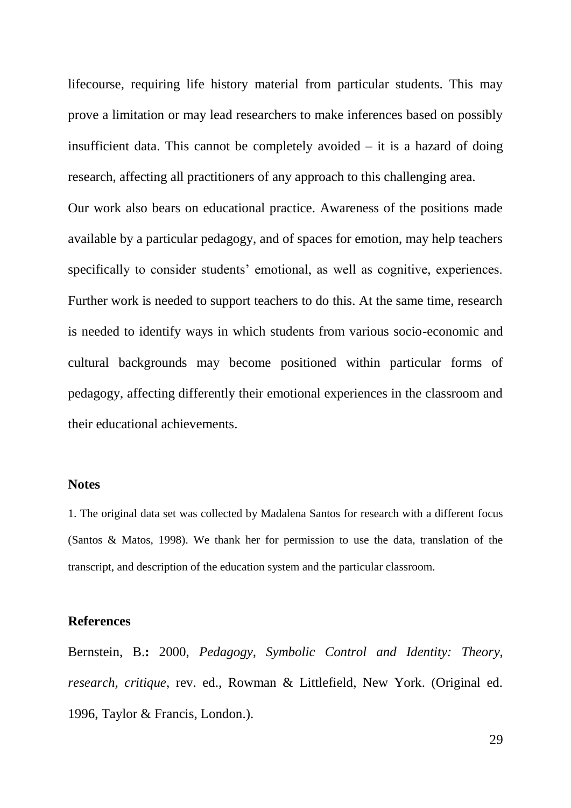lifecourse, requiring life history material from particular students. This may prove a limitation or may lead researchers to make inferences based on possibly insufficient data. This cannot be completely avoided  $-$  it is a hazard of doing research, affecting all practitioners of any approach to this challenging area.

Our work also bears on educational practice. Awareness of the positions made available by a particular pedagogy, and of spaces for emotion, may help teachers specifically to consider students' emotional, as well as cognitive, experiences. Further work is needed to support teachers to do this. At the same time, research is needed to identify ways in which students from various socio-economic and cultural backgrounds may become positioned within particular forms of pedagogy, affecting differently their emotional experiences in the classroom and their educational achievements.

#### **Notes**

1. The original data set was collected by Madalena Santos for research with a different focus (Santos & Matos, 1998). We thank her for permission to use the data, translation of the transcript, and description of the education system and the particular classroom.

#### **References**

Bernstein, B.**:** 2000, *Pedagogy, Symbolic Control and Identity: Theory, research, critique*, rev. ed., Rowman & Littlefield, New York. (Original ed. 1996, Taylor & Francis, London.).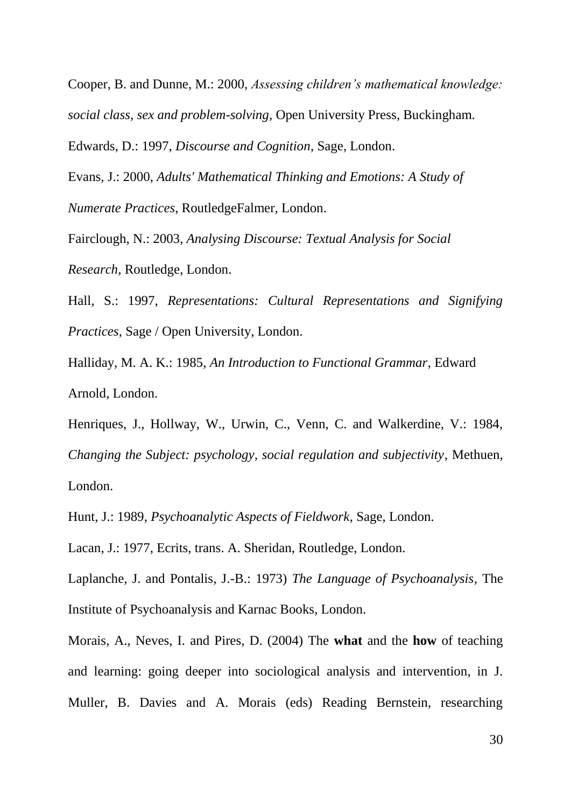Cooper, B. and Dunne, M.: 2000, *Assessing children"s mathematical knowledge: social class, sex and problem-solving,* Open University Press, Buckingham.

Edwards, D.: 1997, *Discourse and Cognition*, Sage, London.

Evans, J.: 2000, *Adults' Mathematical Thinking and Emotions: A Study of Numerate Practices*, RoutledgeFalmer, London.

Fairclough, N.: 2003, *Analysing Discourse: Textual Analysis for Social Research*, Routledge, London.

Hall, S.: 1997, *Representations: Cultural Representations and Signifying Practices*, Sage / Open University, London.

Halliday, M. A. K.: 1985, *An Introduction to Functional Grammar*, Edward Arnold, London.

Henriques, J., Hollway, W., Urwin, C., Venn, C. and Walkerdine, V.: 1984, *Changing the Subject: psychology, social regulation and subjectivity*, Methuen, London.

Hunt, J.: 1989, *Psychoanalytic Aspects of Fieldwork*, Sage, London.

Lacan, J.: 1977, Ecrits, trans. A. Sheridan, Routledge, London.

Laplanche, J. and Pontalis, J.-B.: 1973) *The Language of Psychoanalysis*, The Institute of Psychoanalysis and Karnac Books, London.

Morais, A., Neves, I. and Pires, D. (2004) The **what** and the **how** of teaching and learning: going deeper into sociological analysis and intervention, in J. Muller, B. Davies and A. Morais (eds) Reading Bernstein, researching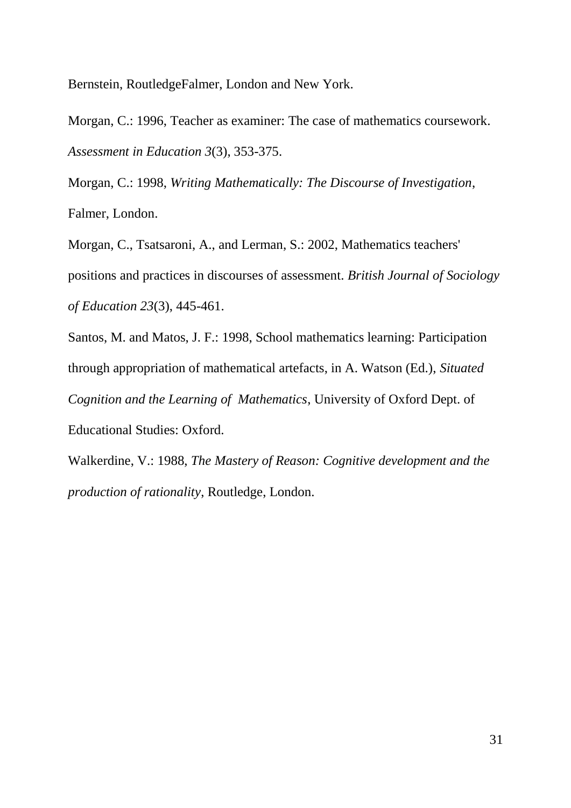Bernstein, RoutledgeFalmer, London and New York.

Morgan, C.: 1996, Teacher as examiner: The case of mathematics coursework. *Assessment in Education 3*(3), 353-375.

Morgan, C.: 1998, *Writing Mathematically: The Discourse of Investigation*, Falmer, London.

Morgan, C., Tsatsaroni, A., and Lerman, S.: 2002, Mathematics teachers' positions and practices in discourses of assessment. *British Journal of Sociology of Education 23*(3), 445-461.

Santos, M. and Matos, J. F.: 1998, School mathematics learning: Participation through appropriation of mathematical artefacts, in A. Watson (Ed.), *Situated Cognition and the Learning of Mathematics*, University of Oxford Dept. of Educational Studies: Oxford.

Walkerdine, V.: 1988, *The Mastery of Reason: Cognitive development and the production of rationality*, Routledge, London.